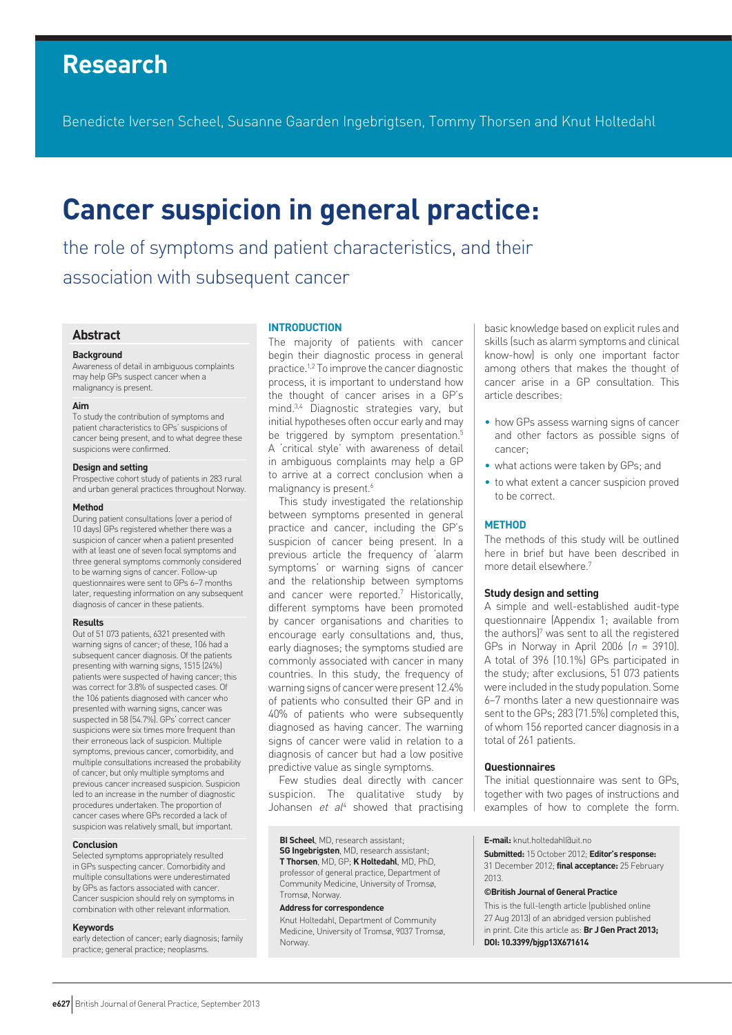## **Research**

Benedicte Iversen Scheel, Susanne Gaarden Ingebrigtsen, Tommy Thorsen and Knut Holtedahl

# **Cancer suspicion in general practice:**

the role of symptoms and patient characteristics, and their association with subsequent cancer

## **Abstract**

## **Background**

Awareness of detail in ambiguous complaints may help GPs suspect cancer when a malignancy is present.

#### **Aim**

To study the contribution of symptoms and patient characteristics to GPs' suspicions of cancer being present, and to what degree these suspicions were confirmed.

#### **Design and setting**

Prospective cohort study of patients in 283 rural and urban general practices throughout Norway.

#### **Method**

During patient consultations (over a period of 10 days) GPs registered whether there was a suspicion of cancer when a patient presented with at least one of seven focal symptoms and three general symptoms commonly considered to be warning signs of cancer. Follow-up questionnaires were sent to GPs 6–7 months later, requesting information on any subsequent diagnosis of cancer in these patients.

## **Results**

Out of 51 073 patients, 6321 presented with warning signs of cancer; of these, 106 had a subsequent cancer diagnosis. Of the patients presenting with warning signs, 1515 (24%) patients were suspected of having cancer; this was correct for 3.8% of suspected cases. Of the 106 patients diagnosed with cancer who presented with warning signs, cancer was suspected in 58 (54.7%). GPs' correct cancer suspicions were six times more frequent than their erroneous lack of suspicion. Multiple symptoms, previous cancer, comorbidity, and multiple consultations increased the probability of cancer, but only multiple symptoms and previous cancer increased suspicion. Suspicion led to an increase in the number of diagnostic procedures undertaken. The proportion of cancer cases where GPs recorded a lack of suspicion was relatively small, but important.

## **Conclusion**

Selected symptoms appropriately resulted in GPs suspecting cancer. Comorbidity and multiple consultations were underestimated by GPs as factors associated with cancer. Cancer suspicion should rely on symptoms in combination with other relevant information.

#### **Keywords**

early detection of cancer; early diagnosis; family practice; general practice; neoplasms.

## **INTRODUCTION**

The majority of patients with cancer begin their diagnostic process in general practice.1,2 To improve the cancer diagnostic process, it is important to understand how the thought of cancer arises in a GP's mind.3,4 Diagnostic strategies vary, but initial hypotheses often occur early and may be triggered by symptom presentation.<sup>5</sup> A 'critical style' with awareness of detail in ambiguous complaints may help a GP to arrive at a correct conclusion when a malignancy is present.<sup>6</sup>

This study investigated the relationship between symptoms presented in general practice and cancer, including the GP's suspicion of cancer being present. In a previous article the frequency of 'alarm symptoms' or warning signs of cancer and the relationship between symptoms and cancer were reported.<sup>7</sup> Historically, different symptoms have been promoted by cancer organisations and charities to encourage early consultations and, thus, early diagnoses; the symptoms studied are commonly associated with cancer in many countries. In this study, the frequency of warning signs of cancer were present 12.4% of patients who consulted their GP and in 40% of patients who were subsequently diagnosed as having cancer. The warning signs of cancer were valid in relation to a diagnosis of cancer but had a low positive predictive value as single symptoms.

Few studies deal directly with cancer suspicion. The qualitative study by Johansen et al<sup>4</sup> showed that practising

**BI Scheel**, MD, research assistant; **SG Ingebrigsten**, MD, research assistant; **T Thorsen**, MD, GP; **K Holtedahl**, MD, PhD, professor of general practice, Department of Community Medicine, University of Tromsø, Tromsø, Norway.

## **Address for correspondence**

Knut Holtedahl, Department of Community Medicine, University of Tromsø, 9037 Tromsø, Norway.

basic knowledge based on explicit rules and skills (such as alarm symptoms and clinical know-how) is only one important factor among others that makes the thought of cancer arise in a GP consultation. This article describes:

- how GPs assess warning signs of cancer and other factors as possible signs of cancer;
- what actions were taken by GPs; and
- to what extent a cancer suspicion proved to be correct.

## **METHOD**

The methods of this study will be outlined here in brief but have been described in more detail elsewhere.7

## **Study design and setting**

A simple and well-established audit-type questionnaire (Appendix 1; available from the authors)7 was sent to all the registered GPs in Norway in April 2006  $(n = 3910)$ . A total of 396 (10.1%) GPs participated in the study; after exclusions, 51 073 patients were included in the study population. Some 6–7 months later a new questionnaire was sent to the GPs; 283 (71.5%) completed this, of whom 156 reported cancer diagnosis in a total of 261 patients.

## **Questionnaires**

The initial questionnaire was sent to GPs, together with two pages of instructions and examples of how to complete the form.

**E-mail:** knut.holtedahl@uit.no

**Submitted:** 15 October 2012; **Editor's response:** 31 December 2012; **final acceptance:** 25 February 2013.

## **©British Journal of General Practice**

This is the full-length article (published online 27 Aug 2013) of an abridged version published in print. Cite this article as: **Br J Gen Pract 2013; DOI: 10.3399/bjgp13X671614**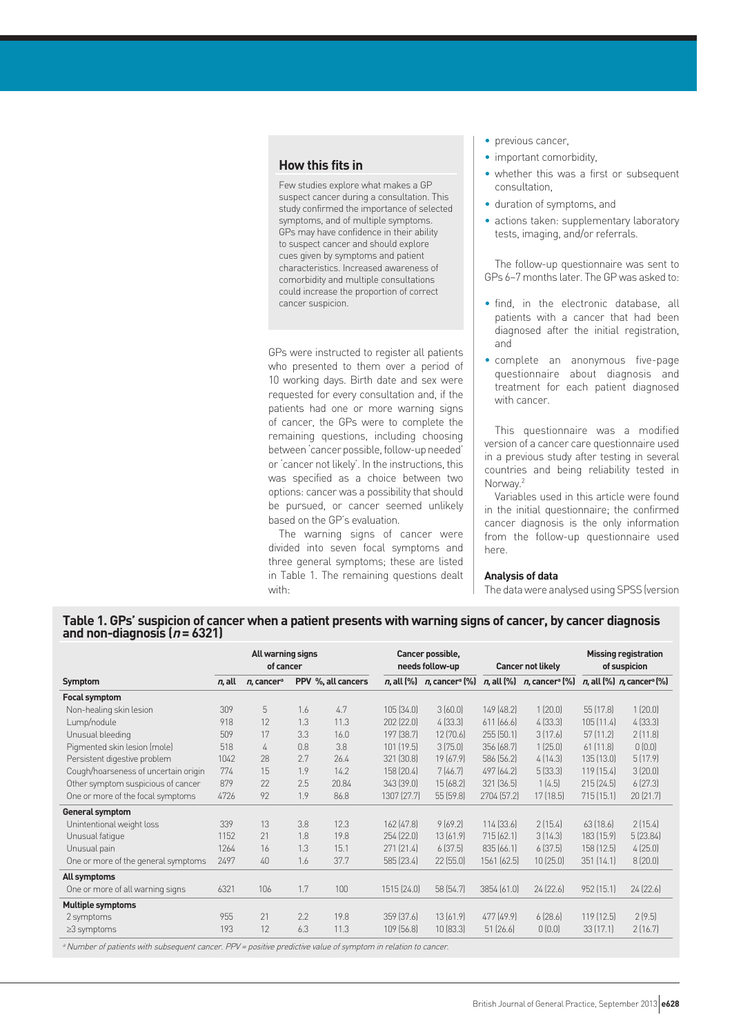## **How this fits in**

Few studies explore what makes a GP suspect cancer during a consultation. This study confirmed the importance of selected symptoms, and of multiple symptoms. GPs may have confidence in their ability to suspect cancer and should explore cues given by symptoms and patient characteristics. Increased awareness of comorbidity and multiple consultations could increase the proportion of correct cancer suspicion.

GPs were instructed to register all patients who presented to them over a period of 10 working days. Birth date and sex were requested for every consultation and, if the patients had one or more warning signs of cancer, the GPs were to complete the remaining questions, including choosing between 'cancer possible, follow-up needed' or 'cancer not likely'. In the instructions, this was specified as a choice between two options: cancer was a possibility that should be pursued, or cancer seemed unlikely based on the GP's evaluation.

The warning signs of cancer were divided into seven focal symptoms and three general symptoms; these are listed in Table 1. The remaining questions dealt with:

- previous cancer,
- important comorbidity,
- whether this was a first or subsequent consultation,
- duration of symptoms, and
- actions taken: supplementary laboratory tests, imaging, and/or referrals.

The follow-up questionnaire was sent to GPs 6–7 months later. The GP was asked to:

- find, in the electronic database, all patients with a cancer that had been diagnosed after the initial registration, and
- complete an anonymous five-page questionnaire about diagnosis and treatment for each patient diagnosed with cancer.

This questionnaire was a modified version of a cancer care questionnaire used in a previous study after testing in several countries and being reliability tested in Norway.2

Variables used in this article were found in the initial questionnaire; the confirmed cancer diagnosis is the only information from the follow-up questionnaire used here.

## **Analysis of data**

The data were analysed using SPSS (version

## **Table 1. GPs' suspicion of cancer when a patient presents with warning signs of cancer, by cancer diagnosis and non-diagnosis (<sup>n</sup> = 6321)**

| $n$ , all<br>Symptom<br>Focal symptom       | $n$ , cancer <sup>a</sup> |     | All warning signs<br>of cancer |             |                                                                           | <b>Cancer not likely</b> |                                                                         | <b>Missing registration</b><br>of suspicion |                                                                   |
|---------------------------------------------|---------------------------|-----|--------------------------------|-------------|---------------------------------------------------------------------------|--------------------------|-------------------------------------------------------------------------|---------------------------------------------|-------------------------------------------------------------------|
|                                             |                           |     | PPV %, all cancers             |             | $n$ , all $\left(\% \right)$ $n$ , cancer <sup>a</sup> $\left(\% \right)$ |                          | $n$ , all $\left[\%\right]$ $n$ , cancer <sup>a</sup> $\left[\%\right]$ |                                             | $n$ all $\left[\%\right]$ n cancer <sup>a</sup> $\left[\%\right]$ |
|                                             |                           |     |                                |             |                                                                           |                          |                                                                         |                                             |                                                                   |
| 309<br>Non-healing skin lesion              | 5                         | 1.6 | 4.7                            | 105 (34.0)  | 3(60.0)                                                                   | 149[48.2]                | 1(20.0)                                                                 | 55 (17.8)                                   | 1(20.0)                                                           |
| 918<br>Lump/nodule                          | 12                        | 1.3 | 11.3                           | 202 (22.0)  | 4[33.3]                                                                   | 611(66.6)                | 4[33.3]                                                                 | 105(11.4)                                   | 4[33.3]                                                           |
| Unusual bleeding<br>509                     | 17                        | 3.3 | 16.0                           | 197 (38.7)  | 12(70.6)                                                                  | 255(50.1)                | 3(17.6)                                                                 | 57(11.2)                                    | 2(11.8)                                                           |
| Pigmented skin lesion (mole)<br>518         | 4                         | 0.8 | 3.8                            | 101(19.5)   | 3(75.0)                                                                   | 356 (68.7)               | 1(25.0)                                                                 | $61$ $(11.8)$                               | 0(0.0)                                                            |
| Persistent digestive problem<br>1042        | 28                        | 2.7 | 26.4                           | 321 (30.8)  | 19(67.9)                                                                  | 586 (56.2)               | 4[14.3]                                                                 | 135 (13.0)                                  | 5(17.9)                                                           |
| Cough/hoarseness of uncertain origin<br>774 | 15                        | 1.9 | 14.2                           | 158 (20.4)  | 7(46.7)                                                                   | 497 (64.2)               | 5(33.3)                                                                 | 119[15.4]                                   | 3(20.0)                                                           |
| Other symptom suspicious of cancer<br>879   | 22                        | 2.5 | 20.84                          | 343(39.0)   | 15(68.2)                                                                  | 321(36.5)                | 1(4.5)                                                                  | 215(24.5)                                   | 6(27.3)                                                           |
| 4726<br>One or more of the focal symptoms   | 92                        | 1.9 | 86.8                           | 1307 (27.7) | 55 (59.8)                                                                 | 2704 (57.2)              | 17(18.5)                                                                | 715(15.1)                                   | 20(21.7)                                                          |
| General symptom                             |                           |     |                                |             |                                                                           |                          |                                                                         |                                             |                                                                   |
| 339<br>Unintentional weight loss            | 13                        | 3.8 | 12.3                           | 162[47.8]   | 9(69.2)                                                                   | 114[33.6]                | 2(15.4)                                                                 | 63[18.6]                                    | 2(15.4)                                                           |
| 1152<br>Unusual fatique                     | 21                        | 1.8 | 19.8                           | 254 (22.0)  | 13(61.9)                                                                  | 715(62.1)                | 3[14.3]                                                                 | 183 (15.9)                                  | 5(23.84)                                                          |
| 1264<br>Unusual pain                        | 16                        | 1.3 | 15.1                           | 271(21.4)   | 6(37.5)                                                                   | 835(66.1)                | 6(37.5)                                                                 | 158 (12.5)                                  | 4(25.0)                                                           |
| 2497<br>One or more of the general symptoms | $40 -$                    | 1.6 | 37.7                           | 585 (23.4)  | 22(55.0)                                                                  | 1561 [62.5]              | 10(25.0)                                                                | 351(14.1)                                   | 8(20.0)                                                           |
| All symptoms                                |                           |     |                                |             |                                                                           |                          |                                                                         |                                             |                                                                   |
| 6321<br>One or more of all warning signs    | 106                       | 1.7 | 100                            | 1515 (24.0) | 58 (54.7)                                                                 | 3854 (61.0)              | 24(22.6)                                                                | 952 (15.1)                                  | 24 (22.6)                                                         |
| <b>Multiple symptoms</b>                    |                           |     |                                |             |                                                                           |                          |                                                                         |                                             |                                                                   |
| 955<br>2 symptoms                           | 21                        | 2.2 | 19.8                           | 359 (37.6)  | 13(61.9)                                                                  | 477 (49.9)               | 6[28.6]                                                                 | 119(12.5)                                   | 2(9.5)                                                            |
| 193<br>$\geq$ 3 symptoms                    | 12                        | 6.3 | 11.3                           | 109 (56.8)  | 10[83.3]                                                                  | 51(26.6)                 | 0(0.0)                                                                  | 33[17.1]                                    | 2(16.7)                                                           |

a Number of patients with subsequent cancer. PPV = positive predictive value of symptom in relation to cancer.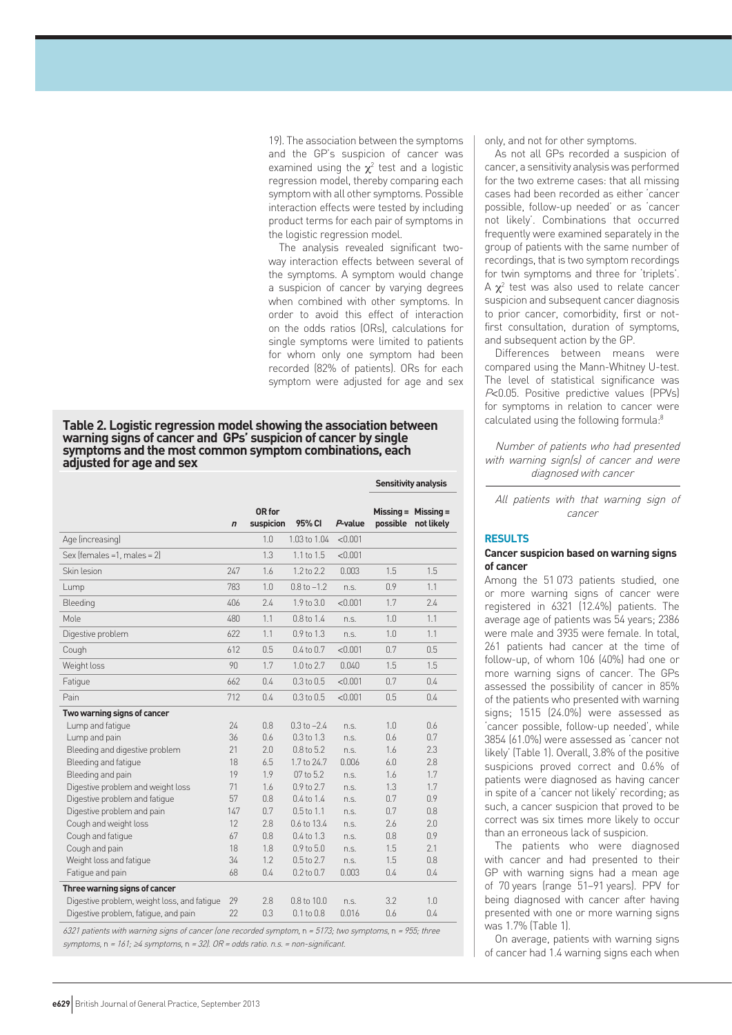19). The association between the symptoms and the GP's suspicion of cancer was examined using the  $\chi^2$  test and a logistic regression model, thereby comparing each symptom with all other symptoms. Possible interaction effects were tested by including product terms for each pair of symptoms in the logistic regression model.

The analysis revealed significant twoway interaction effects between several of the symptoms. A symptom would change a suspicion of cancer by varying degrees when combined with other symptoms. In order to avoid this effect of interaction on the odds ratios (ORs), calculations for single symptoms were limited to patients for whom only one symptom had been recorded (82% of patients). ORs for each symptom were adjusted for age and sex

## **Table 2. Logistic regression model showing the association between warning signs of cancer and GPs' suspicion of cancer by single symptoms and the most common symptom combinations, each adjusted for age and sex**

 **Sensitivity analysis**

|                                             | $\mathbf n$ | OR for<br>suspicion | 95% CI                | P-value |     | Missing = $Missing =$<br>possible not likely |
|---------------------------------------------|-------------|---------------------|-----------------------|---------|-----|----------------------------------------------|
| Age (increasing)                            |             | 1.0                 | 1.03 to 1.04          | < 0.001 |     |                                              |
| Sex (females = 1, males = $2$ )             |             | 1.3                 | $1.1 \text{ to } 1.5$ | < 0.001 |     |                                              |
| Skin lesion                                 | 247         | 1.6                 | $1.2 \text{ to } 2.2$ | 0.003   | 1.5 | 1.5                                          |
| Lump                                        | 783         | 1.0                 | $0.8$ to $-1.2$       | n.S.    | 0.9 | 1.1                                          |
| Bleeding                                    | 406         | 7.4                 | $1.9 \text{ to } 3.0$ | < 0.001 | 1.7 | 7.4                                          |
| Mole                                        | 480         | 1.1                 | 0.8 to 1.4            | n.S.    | 1.0 | 1.1                                          |
| Digestive problem                           | 622         | 1.1                 | 0.9 to 1.3            | n.S.    | 1.0 | 1.1                                          |
| Cough                                       | 612         | 0.5                 | $0.4 \text{ to } 0.7$ | < 0.001 | 0.7 | 0.5                                          |
| Weight loss                                 | 90          | 1.7                 | 1.0 to 2.7            | 0.040   | 1.5 | 1.5                                          |
| Fatique                                     | 662         | 0.4                 | $0.3$ to $0.5$        | < 0.001 | 0.7 | 0.4                                          |
| Pain                                        | 712         | 0.4                 | $0.3$ to $0.5$        | < 0.001 | 0.5 | 0.4                                          |
| Two warning signs of cancer                 |             |                     |                       |         |     |                                              |
| Lump and fatique                            | 24          | 0.8                 | $0.3$ to $-2.4$       | n.S.    | 1.0 | 0.6                                          |
| Lump and pain                               | 36          | 0.6                 | $0.3 \text{ to } 1.3$ | n.S.    | 0.6 | 0.7                                          |
| Bleeding and digestive problem              | 21          | 2.0                 | 0.8 to 5.2            | n.s.    | 1.6 | 2.3                                          |
| Bleeding and fatigue                        | 18          | 6.5                 | 1.7 to 24.7           | 0.006   | 6.0 | 2.8                                          |
| Bleeding and pain                           | 19          | 1.9                 | 07 to 5.2             | n.S.    | 1.6 | 1.7                                          |
| Digestive problem and weight loss           | 71          | 1.6                 | $0.9$ to $2.7$        | n.S.    | 1.3 | 1.7                                          |
| Digestive problem and fatigue               | 57          | 0.8                 | $0.4 \text{ to } 1.4$ | n.S.    | 0.7 | 0.9                                          |
| Digestive problem and pain                  | 147         | 0.7                 | $0.5$ to $1.1$        | n.S.    | 0.7 | 0.8                                          |
| Cough and weight loss                       | 12          | 2.8                 | 0.6 to 13.4           | n.S.    | 2.6 | 2.0                                          |
| Cough and fatigue                           | 67          | 0.8                 | 0.4 to 1.3            | n.S.    | 0.8 | 0.9                                          |
| Cough and pain                              | 18          | 1.8                 | $0.9$ to $5.0$        | n.S.    | 1.5 | 2.1                                          |
| Weight loss and fatigue                     | 34          | 1.2                 | $0.5$ to $2.7$        | n.S.    | 1.5 | 0.8                                          |
| Fatigue and pain                            | 68          | 0.4                 | $0.2$ to $0.7$        | 0.003   | 0.4 | 0.4                                          |
| Three warning signs of cancer               |             |                     |                       |         |     |                                              |
| Digestive problem, weight loss, and fatigue | 29          | 2.8                 | 0.8 to 10.0           | n.s.    | 3.2 | 1.0                                          |
| Digestive problem, fatigue, and pain        | 22          | 0.3                 | $0.1$ to $0.8$        | 0.016   | 0.6 | 0.4                                          |

6321 patients with warning signs of cancer (one recorded symptom, n = 5173; two symptoms, n = 955; three symptoms,  $n = 161$ ;  $\geq 4$  symptoms,  $n = 32$ ). OR = odds ratio. n.s. = non-significant.

only, and not for other symptoms.

As not all GPs recorded a suspicion of cancer, a sensitivity analysis was performed for the two extreme cases: that all missing cases had been recorded as either 'cancer possible, follow-up needed' or as 'cancer not likely'. Combinations that occurred frequently were examined separately in the group of patients with the same number of recordings, that is two symptom recordings for twin symptoms and three for 'triplets'. A  $\chi^2$  test was also used to relate cancer suspicion and subsequent cancer diagnosis to prior cancer, comorbidity, first or notfirst consultation, duration of symptoms, and subsequent action by the GP.

Differences between means were compared using the Mann-Whitney U-test. The level of statistical significance was P<0.05. Positive predictive values (PPVs) for symptoms in relation to cancer were calculated using the following formula:<sup>8</sup>

Number of patients who had presented with warning sign(s) of cancer and were diagnosed with cancer

All patients with that warning sign of cancer

## **RESULTS**

## **Cancer suspicion based on warning signs of cancer**

Among the 51 073 patients studied, one or more warning signs of cancer were registered in 6321 (12.4%) patients. The average age of patients was 54 years; 2386 were male and 3935 were female. In total, 261 patients had cancer at the time of follow-up, of whom 106 (40%) had one or more warning signs of cancer. The GPs assessed the possibility of cancer in 85% of the patients who presented with warning signs; 1515 (24.0%) were assessed as 'cancer possible, follow-up needed', while 3854 (61.0%) were assessed as 'cancer not likely' (Table 1). Overall, 3.8% of the positive suspicions proved correct and 0.6% of patients were diagnosed as having cancer in spite of a 'cancer not likely' recording; as such, a cancer suspicion that proved to be correct was six times more likely to occur than an erroneous lack of suspicion.

The patients who were diagnosed with cancer and had presented to their GP with warning signs had a mean age of 70 years (range 51–91 years). PPV for being diagnosed with cancer after having presented with one or more warning signs was 1.7% (Table 1).

On average, patients with warning signs of cancer had 1.4 warning signs each when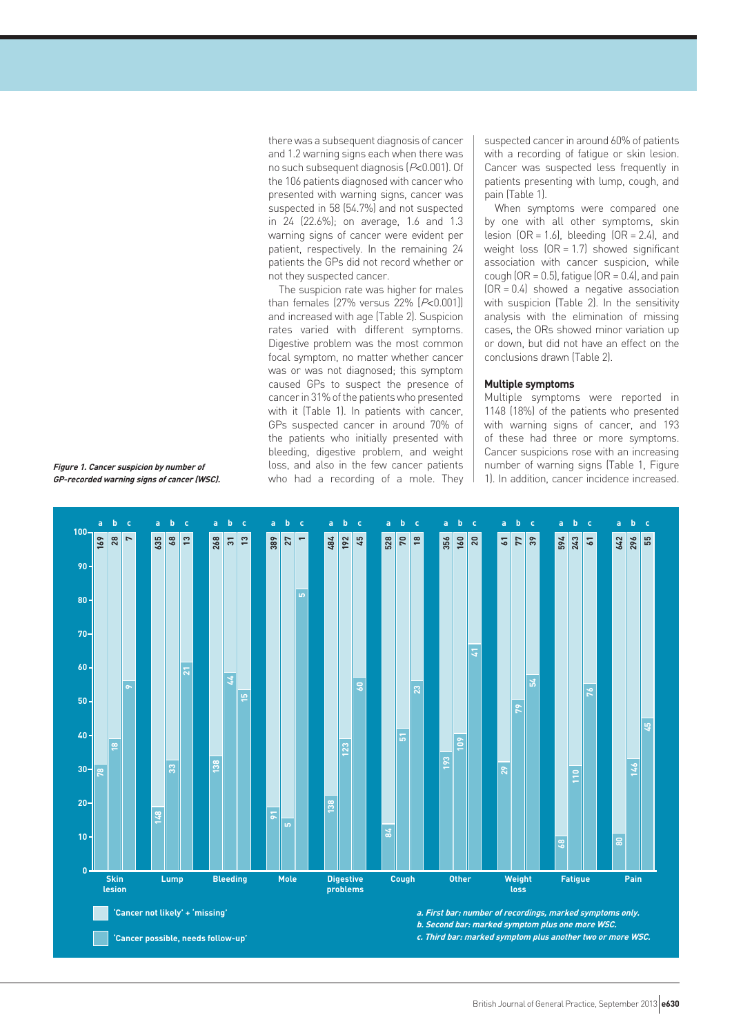there was a subsequent diagnosis of cancer and 1.2 warning signs each when there was no such subsequent diagnosis (P<0.001). Of the 106 patients diagnosed with cancer who presented with warning signs, cancer was suspected in 58 (54.7%) and not suspected in 24 (22.6%); on average, 1.6 and 1.3 warning signs of cancer were evident per patient, respectively. In the remaining 24 patients the GPs did not record whether or not they suspected cancer.

The suspicion rate was higher for males than females (27% versus 22% [P<0.001]) and increased with age (Table 2). Suspicion rates varied with different symptoms. Digestive problem was the most common focal symptom, no matter whether cancer was or was not diagnosed; this symptom caused GPs to suspect the presence of cancer in 31% of the patients who presented with it (Table 1). In patients with cancer, GPs suspected cancer in around 70% of the patients who initially presented with bleeding, digestive problem, and weight loss, and also in the few cancer patients who had a recording of a mole. They

suspected cancer in around 60% of patients with a recording of fatigue or skin lesion. Cancer was suspected less frequently in patients presenting with lump, cough, and pain (Table 1).

When symptoms were compared one by one with all other symptoms, skin lesion  $[OR = 1.6]$ , bleeding  $[OR = 2.4]$ , and weight loss  $[OR = 1.7]$  showed significant association with cancer suspicion, while cough  $[OR = 0.5]$ , fatigue  $[OR = 0.4]$ , and pain (OR = 0.4) showed a negative association with suspicion (Table 2). In the sensitivity analysis with the elimination of missing cases, the ORs showed minor variation up or down, but did not have an effect on the conclusions drawn (Table 2).

## **Multiple symptoms**

Multiple symptoms were reported in 1148 (18%) of the patients who presented with warning signs of cancer, and 193 of these had three or more symptoms. Cancer suspicions rose with an increasing number of warning signs (Table 1, Figure 1). In addition, cancer incidence increased.



**Figure 1. Cancer suspicion by number of GP-recorded warning signs of cancer (WSC).**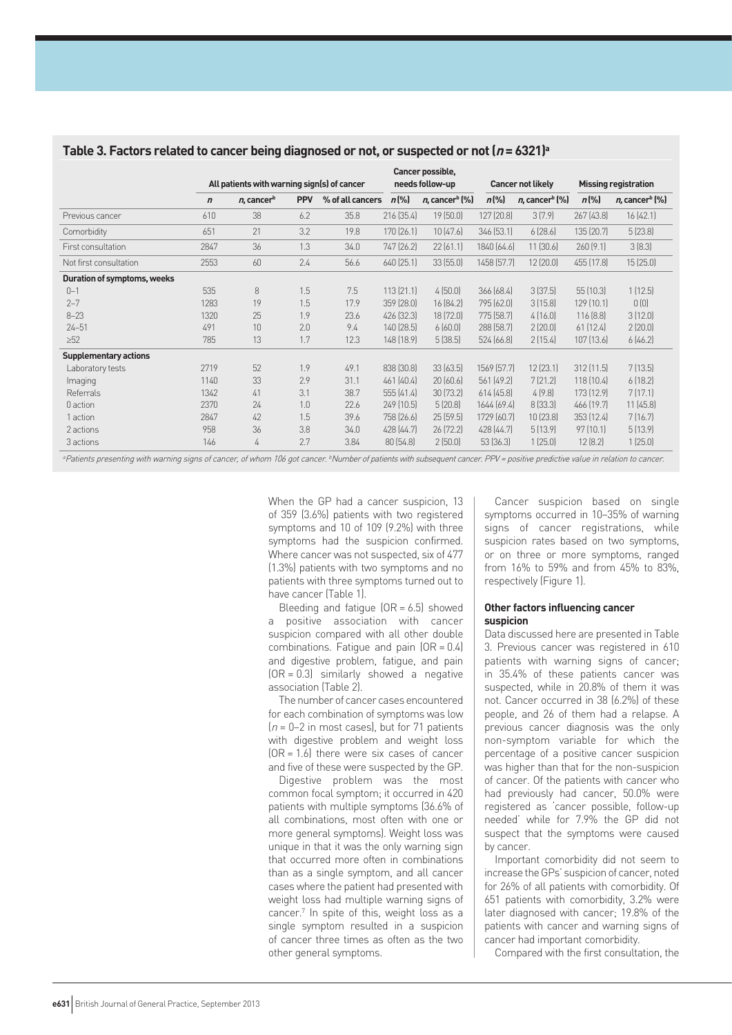|                              |                                             |                        |            |                  | Cancer possible,   |                               |                    |                               |                    |                               |
|------------------------------|---------------------------------------------|------------------------|------------|------------------|--------------------|-------------------------------|--------------------|-------------------------------|--------------------|-------------------------------|
|                              | All patients with warning sign(s) of cancer |                        |            | needs follow-up  |                    | <b>Cancer not likely</b>      |                    | <b>Missing registration</b>   |                    |                               |
|                              | $\mathbf n$                                 | n, cancer <sup>b</sup> | <b>PPV</b> | % of all cancers | $n\left[\%\right]$ | $n$ , cancer <sup>b</sup> (%) | $n\left[\%\right]$ | $n$ , cancer <sup>b</sup> (%) | $n\left[\%\right]$ | $n$ , cancer <sup>b</sup> (%) |
| Previous cancer              | 610                                         | 38                     | 6.2        | 35.8             | 216(35.4)          | 19 (50.0)                     | 127 (20.8)         | 3(7.9)                        | 267 [43.8]         | 16(42.1)                      |
| Comorbidity                  | 651                                         | 21                     | 3.2        | 19.8             | 170 (26.1)         | 10(47.6)                      | 346 (53.1)         | 6(28.6)                       | 135 (20.7)         | 5(23.8)                       |
| First consultation           | 2847                                        | 36                     | 1.3        | 34.0             | 747 (26.2)         | 22(61.1)                      | 1840 (64.6)        | 11(30.6)                      | 260(9.1)           | 3(8.3)                        |
| Not first consultation       | 2553                                        | 60                     | 2.4        | 56.6             | 640 (25.1)         | 33(55.0)                      | 1458 (57.7)        | 12(20.0)                      | 455 (17.8)         | 15(25.0)                      |
| Duration of symptoms, weeks  |                                             |                        |            |                  |                    |                               |                    |                               |                    |                               |
| $0 - 1$                      | 535                                         | 8                      | 1.5        | 7.5              | 113(21.1)          | 4(50.0)                       | 366 [68.4]         | 3(37.5)                       | 55 (10.3)          | 1(12.5)                       |
| $2 - 7$                      | 1283                                        | 19                     | 1.5        | 17.9             | 359 (28.0)         | 16 (84.2)                     | 795 [62.0]         | 3(15.8)                       | 129 (10.1)         | 0(0)                          |
| $8 - 23$                     | 1320                                        | 25                     | 1.9        | 23.6             | 426 [32.3]         | 18 (72.0)                     | 775 (58.7)         | 4(16.0)                       | 116(8.8)           | 3(12.0)                       |
| $24 - 51$                    | 491                                         | 10                     | 2.0        | 9.4              | 140 (28.5)         | 6(60.0)                       | 288 (58.7)         | 2(20.0)                       | $61$ $(12.4)$      | 2(20.0)                       |
| $\geq 52$                    | 785                                         | 13                     | 1.7        | 12.3             | 148 (18.9)         | 5(38.5)                       | 524 (66.8)         | 2(15.4)                       | 107[13.6]          | 6(46.2)                       |
| <b>Supplementary actions</b> |                                             |                        |            |                  |                    |                               |                    |                               |                    |                               |
| Laboratory tests             | 2719                                        | 52                     | 1.9        | 49.1             | 838 (30.8)         | 33(63.5)                      | 1569 (57.7)        | 12(23.1)                      | 312(11.5)          | 7(13.5)                       |
| Imaging                      | 1140                                        | 33                     | 2.9        | 31.1             | 461 (40.4)         | 20(60.6)                      | 561 (49.2)         | 7(21.2)                       | 118 (10.4)         | 6[18.2]                       |
| Referrals                    | 1342                                        | 41                     | 3.1        | 38.7             | 555 (41.4)         | 30(73.2)                      | 614[45.8]          | 4(9.8)                        | 173 (12.9)         | 7(17.1)                       |
| 0 action                     | 2370                                        | 24                     | 1.0        | 22.6             | 249 (10.5)         | 5(20.8)                       | 1644 (69.4)        | 8(33.3)                       | 466 [19.7]         | 11(45.8)                      |
| 1 action                     | 2847                                        | 42                     | 1.5        | 39.6             | 758 (26.6)         | 25(59.5)                      | 1729 (60.7)        | 10 (23.8)                     | 353 (12.4)         | 7(16.7)                       |
| 2 actions                    | 958                                         | 36                     | 3.8        | 34.0             | 428 (44.7)         | 26(72.2)                      | 428 (44.7)         | 5(13.9)                       | 97(10.1)           | 5(13.9)                       |
| 3 actions                    | 146                                         | 4                      | 2.7        | 3.84             | 80(54.8)           | 2(50.0)                       | 53 (36.3)          | 1(25.0)                       | 12(8.2)            | 1(25.0)                       |

## **Table 3. Factors related to cancer being diagnosed or not, or suspected or not (<sup>n</sup> = 6321)a**

aPatients presenting with warning signs of cancer, of whom 106 got cancer. <sup>b</sup>Number of patients with subsequent cancer. PPV = positive predictive value in relation to cancer.

When the GP had a cancer suspicion, 13 of 359 (3.6%) patients with two registered symptoms and 10 of 109 (9.2%) with three symptoms had the suspicion confirmed. Where cancer was not suspected, six of 477 (1.3%) patients with two symptoms and no patients with three symptoms turned out to have cancer (Table 1).

Bleeding and fatigue  $[OR = 6.5]$  showed a positive association with cancer suspicion compared with all other double combinations. Fatigue and pain  $[OR = 0.4]$ and digestive problem, fatigue, and pain  $[OR = 0.3]$  similarly showed a negative association (Table 2).

The number of cancer cases encountered for each combination of symptoms was low  $(n = 0-2$  in most cases), but for 71 patients with digestive problem and weight loss  $[OR = 1.6]$  there were six cases of cancer and five of these were suspected by the GP.

Digestive problem was the most common focal symptom; it occurred in 420 patients with multiple symptoms (36.6% of all combinations, most often with one or more general symptoms). Weight loss was unique in that it was the only warning sign that occurred more often in combinations than as a single symptom, and all cancer cases where the patient had presented with weight loss had multiple warning signs of cancer.7 In spite of this, weight loss as a single symptom resulted in a suspicion of cancer three times as often as the two other general symptoms.

Cancer suspicion based on single symptoms occurred in 10–35% of warning signs of cancer registrations, while suspicion rates based on two symptoms, or on three or more symptoms, ranged from 16% to 59% and from 45% to 83%, respectively (Figure 1).

## **Other factors influencing cancer suspicion**

Data discussed here are presented in Table 3. Previous cancer was registered in 610 patients with warning signs of cancer; in 35.4% of these patients cancer was suspected, while in 20.8% of them it was not. Cancer occurred in 38 (6.2%) of these people, and 26 of them had a relapse. A previous cancer diagnosis was the only non-symptom variable for which the percentage of a positive cancer suspicion was higher than that for the non-suspicion of cancer. Of the patients with cancer who had previously had cancer, 50.0% were registered as 'cancer possible, follow-up needed' while for 7.9% the GP did not suspect that the symptoms were caused by cancer.

Important comorbidity did not seem to increase the GPs' suspicion of cancer, noted for 26% of all patients with comorbidity. Of 651 patients with comorbidity, 3.2% were later diagnosed with cancer; 19.8% of the patients with cancer and warning signs of cancer had important comorbidity.

Compared with the first consultation, the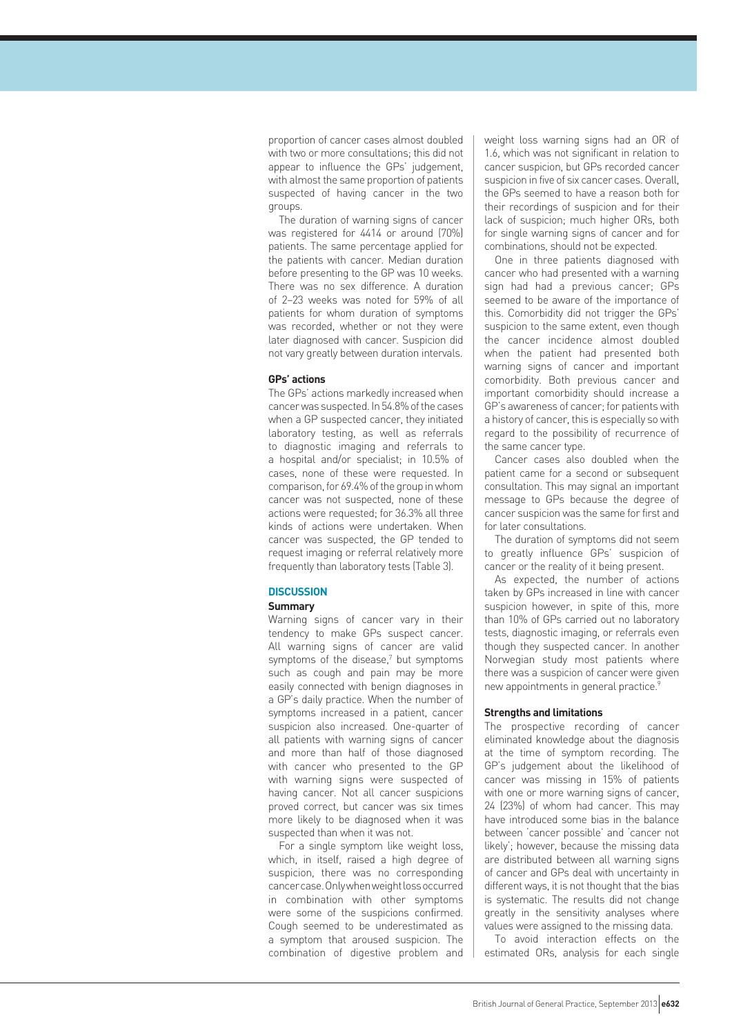proportion of cancer cases almost doubled with two or more consultations; this did not appear to influence the GPs' judgement, with almost the same proportion of patients suspected of having cancer in the two groups.

The duration of warning signs of cancer was registered for 4414 or around (70%) patients. The same percentage applied for the patients with cancer. Median duration before presenting to the GP was 10 weeks. There was no sex difference. A duration of 2–23 weeks was noted for 59% of all patients for whom duration of symptoms was recorded, whether or not they were later diagnosed with cancer. Suspicion did not vary greatly between duration intervals.

## **GPs' actions**

The GPs' actions markedly increased when cancer was suspected. In 54.8% of the cases when a GP suspected cancer, they initiated laboratory testing, as well as referrals to diagnostic imaging and referrals to a hospital and/or specialist; in 10.5% of cases, none of these were requested. In comparison, for 69.4% of the group in whom cancer was not suspected, none of these actions were requested; for 36.3% all three kinds of actions were undertaken. When cancer was suspected, the GP tended to request imaging or referral relatively more frequently than laboratory tests (Table 3).

## **DISCUSSION**

## **Summary**

Warning signs of cancer vary in their tendency to make GPs suspect cancer. All warning signs of cancer are valid symptoms of the disease, $<sup>7</sup>$  but symptoms</sup> such as cough and pain may be more easily connected with benign diagnoses in a GP's daily practice. When the number of symptoms increased in a patient, cancer suspicion also increased. One-quarter of all patients with warning signs of cancer and more than half of those diagnosed with cancer who presented to the GP with warning signs were suspected of having cancer. Not all cancer suspicions proved correct, but cancer was six times more likely to be diagnosed when it was suspected than when it was not.

For a single symptom like weight loss, which, in itself, raised a high degree of suspicion, there was no corresponding cancer case. Only when weight loss occurred in combination with other symptoms were some of the suspicions confirmed. Cough seemed to be underestimated as a symptom that aroused suspicion. The combination of digestive problem and weight loss warning signs had an OR of 1.6, which was not significant in relation to cancer suspicion, but GPs recorded cancer suspicion in five of six cancer cases. Overall, the GPs seemed to have a reason both for their recordings of suspicion and for their lack of suspicion; much higher ORs, both for single warning signs of cancer and for combinations, should not be expected.

One in three patients diagnosed with cancer who had presented with a warning sign had had a previous cancer; GPs seemed to be aware of the importance of this. Comorbidity did not trigger the GPs' suspicion to the same extent, even though the cancer incidence almost doubled when the patient had presented both warning signs of cancer and important comorbidity. Both previous cancer and important comorbidity should increase a GP's awareness of cancer; for patients with a history of cancer, this is especially so with regard to the possibility of recurrence of the same cancer type.

Cancer cases also doubled when the patient came for a second or subsequent consultation. This may signal an important message to GPs because the degree of cancer suspicion was the same for first and for later consultations.

The duration of symptoms did not seem to greatly influence GPs' suspicion of cancer or the reality of it being present.

As expected, the number of actions taken by GPs increased in line with cancer suspicion however, in spite of this, more than 10% of GPs carried out no laboratory tests, diagnostic imaging, or referrals even though they suspected cancer. In another Norwegian study most patients where there was a suspicion of cancer were given new appointments in general practice.<sup>9</sup>

## **Strengths and limitations**

The prospective recording of cancer eliminated knowledge about the diagnosis at the time of symptom recording. The GP's judgement about the likelihood of cancer was missing in 15% of patients with one or more warning signs of cancer, 24 (23%) of whom had cancer. This may have introduced some bias in the balance between 'cancer possible' and 'cancer not likely'; however, because the missing data are distributed between all warning signs of cancer and GPs deal with uncertainty in different ways, it is not thought that the bias is systematic. The results did not change greatly in the sensitivity analyses where values were assigned to the missing data.

To avoid interaction effects on the estimated ORs, analysis for each single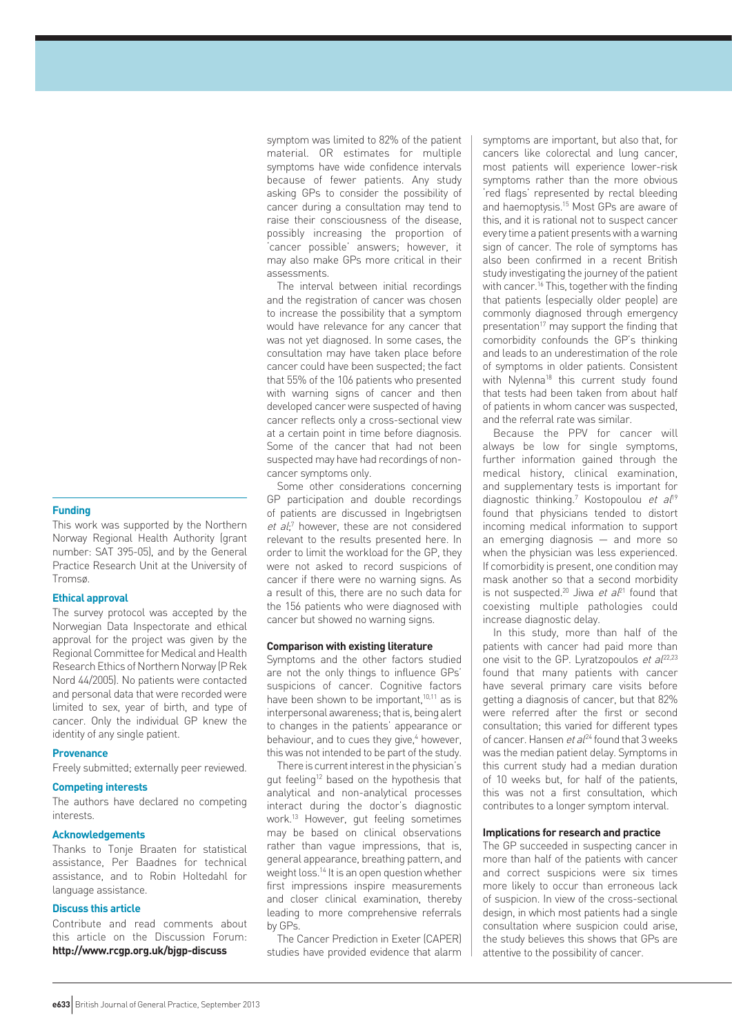#### **Funding**

This work was supported by the Northern Norway Regional Health Authority (grant number: SAT 395-05), and by the General Practice Research Unit at the University of Tromsø.

## **Ethical approval**

The survey protocol was accepted by the Norwegian Data Inspectorate and ethical approval for the project was given by the Regional Committee for Medical and Health Research Ethics of Northern Norway (P Rek Nord 44/2005). No patients were contacted and personal data that were recorded were limited to sex, year of birth, and type of cancer. Only the individual GP knew the identity of any single patient.

## **Provenance**

Freely submitted; externally peer reviewed.

## **Competing interests**

The authors have declared no competing interests.

## **Acknowledgements**

Thanks to Tonje Braaten for statistical assistance, Per Baadnes for technical assistance, and to Robin Holtedahl for language assistance.

## **Discuss this article**

Contribute and read comments about this article on the Discussion Forum: **http://www.rcgp.org.uk/bjgp-discuss**

symptom was limited to 82% of the patient material. OR estimates for multiple symptoms have wide confidence intervals because of fewer patients. Any study asking GPs to consider the possibility of cancer during a consultation may tend to raise their consciousness of the disease, possibly increasing the proportion of 'cancer possible' answers; however, it may also make GPs more critical in their assessments.

The interval between initial recordings and the registration of cancer was chosen to increase the possibility that a symptom would have relevance for any cancer that was not yet diagnosed. In some cases, the consultation may have taken place before cancer could have been suspected; the fact that 55% of the 106 patients who presented with warning signs of cancer and then developed cancer were suspected of having cancer reflects only a cross-sectional view at a certain point in time before diagnosis. Some of the cancer that had not been suspected may have had recordings of noncancer symptoms only.

Some other considerations concerning GP participation and double recordings of patients are discussed in Ingebrigtsen et al;<sup>7</sup> however, these are not considered relevant to the results presented here. In order to limit the workload for the GP, they were not asked to record suspicions of cancer if there were no warning signs. As a result of this, there are no such data for the 156 patients who were diagnosed with cancer but showed no warning signs.

## **Comparison with existing literature**

Symptoms and the other factors studied are not the only things to influence GPs' suspicions of cancer. Cognitive factors have been shown to be important, $10,11$  as is interpersonal awareness; that is, being alert to changes in the patients' appearance or behaviour, and to cues they give,<sup>4</sup> however, this was not intended to be part of the study.

There is current interest in the physician's gut feeling<sup>12</sup> based on the hypothesis that analytical and non-analytical processes interact during the doctor's diagnostic work.13 However, gut feeling sometimes may be based on clinical observations rather than vague impressions, that is, general appearance, breathing pattern, and weight loss.14 It is an open question whether first impressions inspire measurements and closer clinical examination, thereby leading to more comprehensive referrals by GPs.

The Cancer Prediction in Exeter (CAPER) studies have provided evidence that alarm symptoms are important, but also that, for cancers like colorectal and lung cancer, most patients will experience lower-risk symptoms rather than the more obvious 'red flags' represented by rectal bleeding and haemoptysis.15 Most GPs are aware of this, and it is rational not to suspect cancer every time a patient presents with a warning sign of cancer. The role of symptoms has also been confirmed in a recent British study investigating the journey of the patient with cancer.<sup>16</sup> This, together with the finding that patients (especially older people) are commonly diagnosed through emergency presentation $17$  may support the finding that comorbidity confounds the GP's thinking and leads to an underestimation of the role of symptoms in older patients. Consistent with Nylenna<sup>18</sup> this current study found that tests had been taken from about half of patients in whom cancer was suspected, and the referral rate was similar.

Because the PPV for cancer will always be low for single symptoms, further information gained through the medical history, clinical examination, and supplementary tests is important for diagnostic thinking.<sup>7</sup> Kostopoulou et al<sup>19</sup> found that physicians tended to distort incoming medical information to support an emerging diagnosis — and more so when the physician was less experienced. If comorbidity is present, one condition may mask another so that a second morbidity is not suspected.<sup>20</sup> Jiwa et  $a^{21}$  found that coexisting multiple pathologies could increase diagnostic delay.

In this study, more than half of the patients with cancer had paid more than one visit to the GP. Lyratzopoulos et  $al^{22,23}$ found that many patients with cancer have several primary care visits before getting a diagnosis of cancer, but that 82% were referred after the first or second consultation; this varied for different types of cancer. Hansen *et al*<sup>24</sup> found that 3 weeks was the median patient delay. Symptoms in this current study had a median duration of 10 weeks but, for half of the patients, this was not a first consultation, which contributes to a longer symptom interval.

## **Implications for research and practice**

The GP succeeded in suspecting cancer in more than half of the patients with cancer and correct suspicions were six times more likely to occur than erroneous lack of suspicion. In view of the cross-sectional design, in which most patients had a single consultation where suspicion could arise, the study believes this shows that GPs are attentive to the possibility of cancer.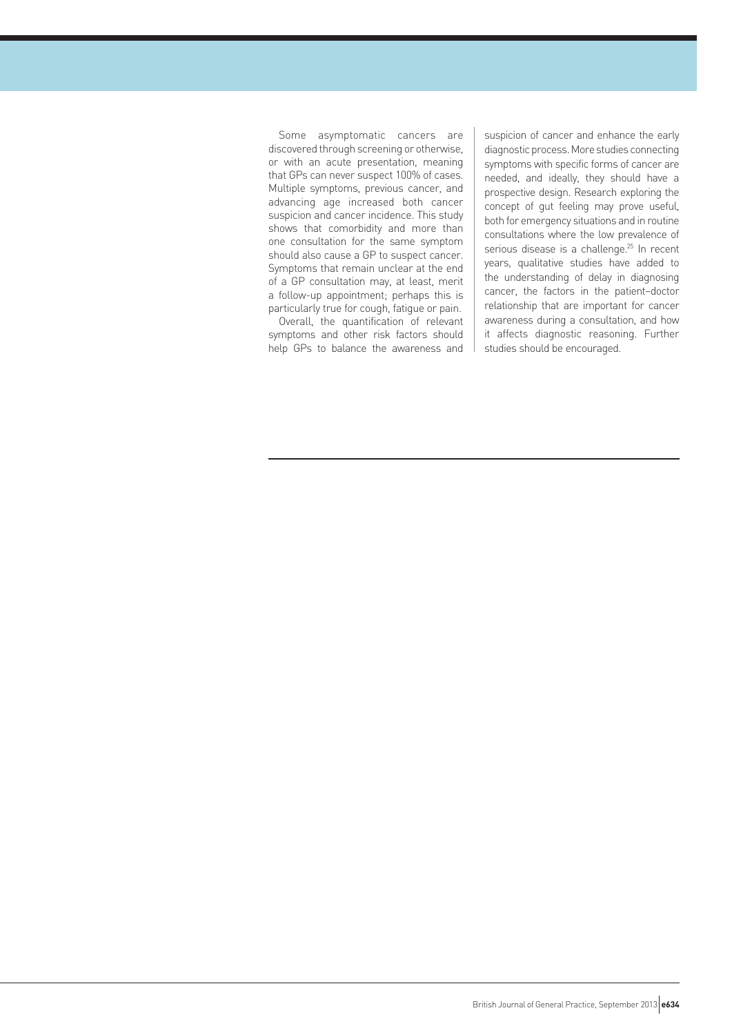Some asymptomatic cancers are discovered through screening or otherwise, or with an acute presentation, meaning that GPs can never suspect 100% of cases. Multiple symptoms, previous cancer, and advancing age increased both cancer suspicion and cancer incidence. This study shows that comorbidity and more than one consultation for the same symptom should also cause a GP to suspect cancer. Symptoms that remain unclear at the end of a GP consultation may, at least, merit a follow-up appointment; perhaps this is particularly true for cough, fatigue or pain.

Overall, the quantification of relevant symptoms and other risk factors should help GPs to balance the awareness and

suspicion of cancer and enhance the early diagnostic process. More studies connecting symptoms with specific forms of cancer are needed, and ideally, they should have a prospective design. Research exploring the concept of gut feeling may prove useful, both for emergency situations and in routine consultations where the low prevalence of serious disease is a challenge.<sup>25</sup> In recent years, qualitative studies have added to the understanding of delay in diagnosing cancer, the factors in the patient–doctor relationship that are important for cancer awareness during a consultation, and how it affects diagnostic reasoning. Further studies should be encouraged.